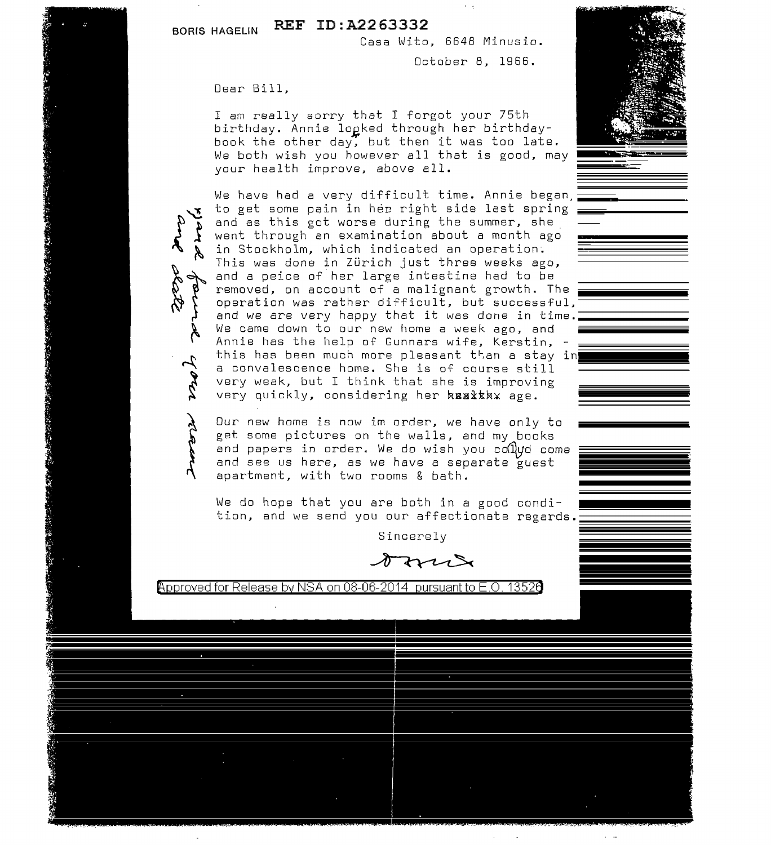**BORIS HAGELIN REF ID:A2263332** 

Casa Wito, 6648 Minusio.

October B, 1966.

Dear Bill,

I am really sorry that I forgot your 75th birthday. Annie logked through her birthdaybook the other day, but then it was too late. We both wish you however all that is good, may your health improve, above all.

We have had a very difficult time. Annie began, to get some pain in her right side last spring and as this got worse during the summer, she went through an examination about a month ago in Stockholm, which indicated an operation. This was done in Zürich just three weeks ago, and a peice of her large intestine had to be removed, on account of a malignant growth. The operation was rather difficult, but successful, and we are very happy that it was done in time. We came down to our new home a week ago, and Annie has the help of Gunnars wife, Kerstin, this has been much more pleasant than a stay in a convalescence home. She is of course still very weak, but I think that she is improving very quickly, considering her **kealtkax** age.

Our new home is now im order, we have only to get some pictures on the walls, and my books and papers in order. We do wish you collyd come and see us here, as we have a separate guest apartment, with two rooms & bath.

We do hope that you are both in a good condition, and we send you our affectionate regards.

Sincerely



Approved for Release by NSA on 08-06-2014 pursuant to E.O. 1352a